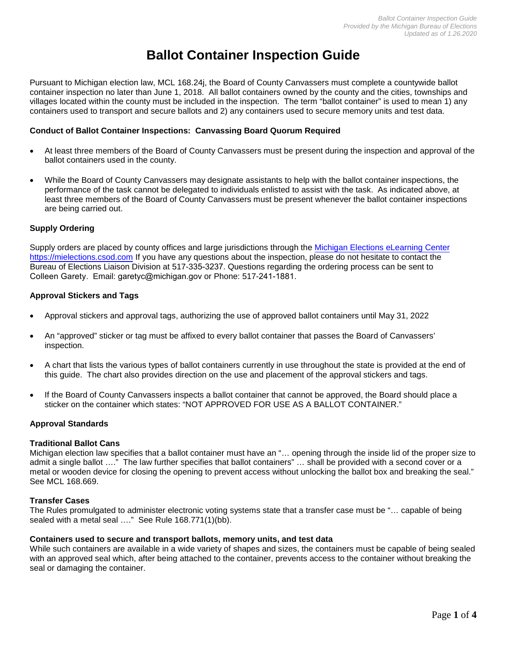# **Ballot Container Inspection Guide**

Pursuant to Michigan election law, MCL 168.24j, the Board of County Canvassers must complete a countywide ballot container inspection no later than June 1, 2018. All ballot containers owned by the county and the cities, townships and villages located within the county must be included in the inspection. The term "ballot container" is used to mean 1) any containers used to transport and secure ballots and 2) any containers used to secure memory units and test data.

## **Conduct of Ballot Container Inspections: Canvassing Board Quorum Required**

- At least three members of the Board of County Canvassers must be present during the inspection and approval of the ballot containers used in the county.
- While the Board of County Canvassers may designate assistants to help with the ballot container inspections, the performance of the task cannot be delegated to individuals enlisted to assist with the task. As indicated above, at least three members of the Board of County Canvassers must be present whenever the ballot container inspections are being carried out.

## **Supply Ordering**

Supply orders are placed by county offices and large jurisdictions through the Michigan Elections [eLearning](https://mielections.csod.com/) Center [https://mielections.csod.com](https://mielections.csod.com/) If you have any questions about the inspection, please do not hesitate to contact the Bureau of Elections Liaison Division at 517-335-3237. Questions regarding the ordering process can be sent to Colle[en Garety](mailto:altimorep@michigan.gov). Email: garetyc@michigan.gov or Phone: 517-241-1881.

#### **Approval Stickers and Tags**

- Approval stickers and approval tags, authorizing the use of approved ballot containers until May 31, 2022
- An "approved" sticker or tag must be affixed to every ballot container that passes the Board of Canvassers' inspection.
- A chart that lists the various types of ballot containers currently in use throughout the state is provided at the end of this guide. The chart also provides direction on the use and placement of the approval stickers and tags.
- If the Board of County Canvassers inspects a ballot container that cannot be approved, the Board should place a sticker on the container which states: "NOT APPROVED FOR USE AS A BALLOT CONTAINER."

# **Approval Standards**

#### **Traditional Ballot Cans**

Michigan election law specifies that a ballot container must have an "… opening through the inside lid of the proper size to admit a single ballot …." The law further specifies that ballot containers" … shall be provided with a second cover or a metal or wooden device for closing the opening to prevent access without unlocking the ballot box and breaking the seal." See MCL 168.669.

#### **Transfer Cases**

The Rules promulgated to administer electronic voting systems state that a transfer case must be "… capable of being sealed with a metal seal ...." See Rule 168.771(1)(bb).

#### **Containers used to secure and transport ballots, memory units, and test data**

While such containers are available in a wide variety of shapes and sizes, the containers must be capable of being sealed with an approved seal which, after being attached to the container, prevents access to the container without breaking the seal or damaging the container.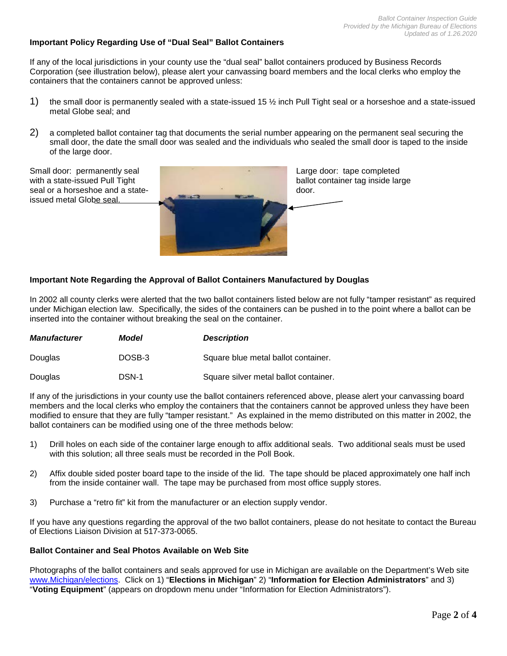#### **Important Policy Regarding Use of "Dual Seal" Ballot Containers**

If any of the local jurisdictions in your county use the "dual seal" ballot containers produced by Business Records Corporation (see illustration below), please alert your canvassing board members and the local clerks who employ the containers that the containers cannot be approved unless:

- 1) the small door is permanently sealed with a state-issued 15 ½ inch Pull Tight seal or a horseshoe and a state-issued metal Globe seal; and
- 2) a completed ballot container tag that documents the serial number appearing on the permanent seal securing the small door, the date the small door was sealed and the individuals who sealed the small door is taped to the inside of the large door.



#### **Important Note Regarding the Approval of Ballot Containers Manufactured by Douglas**

In 2002 all county clerks were alerted that the two ballot containers listed below are not fully "tamper resistant" as required under Michigan election law. Specifically, the sides of the containers can be pushed in to the point where a ballot can be inserted into the container without breaking the seal on the container.

| <b>Manufacturer</b> | Model  | <b>Description</b>                    |  |  |
|---------------------|--------|---------------------------------------|--|--|
| <b>Douglas</b>      | DOSB-3 | Square blue metal ballot container.   |  |  |
| Douglas             | DSN-1  | Square silver metal ballot container. |  |  |

If any of the jurisdictions in your county use the ballot containers referenced above, please alert your canvassing board members and the local clerks who employ the containers that the containers cannot be approved unless they have been modified to ensure that they are fully "tamper resistant." As explained in the memo distributed on this matter in 2002, the ballot containers can be modified using one of the three methods below:

- 1) Drill holes on each side of the container large enough to affix additional seals. Two additional seals must be used with this solution; all three seals must be recorded in the Poll Book.
- 2) Affix double sided poster board tape to the inside of the lid. The tape should be placed approximately one half inch from the inside container wall. The tape may be purchased from most office supply stores.
- 3) Purchase a "retro fit" kit from the manufacturer or an election supply vendor.

If you have any questions regarding the approval of the two ballot containers, please do not hesitate to contact the Bureau of Elections Liaison Division at 517-373-0065.

#### **Ballot Container and Seal Photos Available on Web Site**

Photographs of the ballot containers and seals approved for use in Michigan are available on the Department's Web site [www.Michigan/elections.](http://www.michigan/elections) Click on 1) "**Elections in Michigan**" 2) "**Information for Election Administrators**" and 3) "**Voting Equipment**" (appears on dropdown menu under "Information for Election Administrators").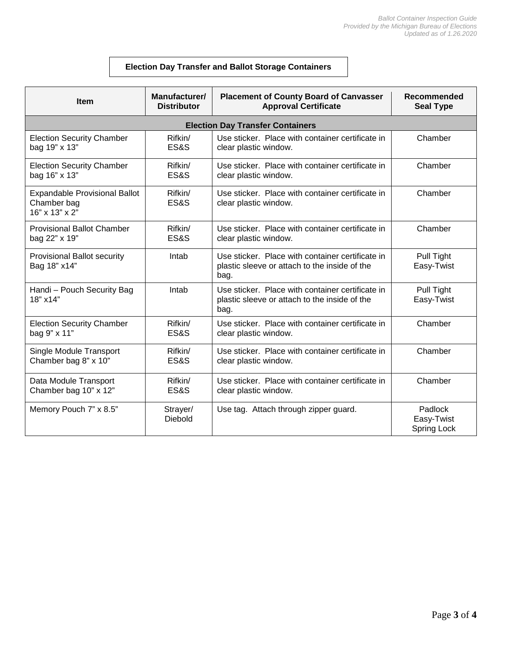# **Election Day Transfer and Ballot Storage Containers**

| <b>Item</b>                                                           | Manufacturer/       | <b>Placement of County Board of Canvasser</b>                                                             | Recommended                          |  |  |
|-----------------------------------------------------------------------|---------------------|-----------------------------------------------------------------------------------------------------------|--------------------------------------|--|--|
|                                                                       | <b>Distributor</b>  | <b>Approval Certificate</b>                                                                               | <b>Seal Type</b>                     |  |  |
| <b>Election Day Transfer Containers</b>                               |                     |                                                                                                           |                                      |  |  |
| <b>Election Security Chamber</b>                                      | Rifkin/             | Use sticker. Place with container certificate in                                                          | Chamber                              |  |  |
| bag 19" x 13"                                                         | ES&S                | clear plastic window.                                                                                     |                                      |  |  |
| <b>Election Security Chamber</b>                                      | Rifkin/             | Use sticker. Place with container certificate in                                                          | Chamber                              |  |  |
| bag 16" x 13"                                                         | <b>ES&amp;S</b>     | clear plastic window.                                                                                     |                                      |  |  |
| <b>Expandable Provisional Ballot</b><br>Chamber bag<br>16" x 13" x 2" | Rifkin/<br>ES&S     | Use sticker. Place with container certificate in<br>clear plastic window.                                 | Chamber                              |  |  |
| <b>Provisional Ballot Chamber</b>                                     | Rifkin/             | Use sticker. Place with container certificate in                                                          | Chamber                              |  |  |
| bag 22" x 19"                                                         | <b>ES&amp;S</b>     | clear plastic window.                                                                                     |                                      |  |  |
| <b>Provisional Ballot security</b><br>Bag 18" x14"                    | Intab               | Use sticker. Place with container certificate in<br>plastic sleeve or attach to the inside of the<br>bag. | Pull Tight<br>Easy-Twist             |  |  |
| Handi - Pouch Security Bag<br>18" x14"                                | Intab               | Use sticker. Place with container certificate in<br>plastic sleeve or attach to the inside of the<br>bag. | Pull Tight<br>Easy-Twist             |  |  |
| <b>Election Security Chamber</b>                                      | Rifkin/             | Use sticker. Place with container certificate in                                                          | Chamber                              |  |  |
| bag 9" x 11"                                                          | ES&S                | clear plastic window.                                                                                     |                                      |  |  |
| Single Module Transport                                               | Rifkin/             | Use sticker. Place with container certificate in                                                          | Chamber                              |  |  |
| Chamber bag 8" x 10"                                                  | ES&S                | clear plastic window.                                                                                     |                                      |  |  |
| Data Module Transport                                                 | Rifkin/             | Use sticker. Place with container certificate in                                                          | Chamber                              |  |  |
| Chamber bag 10" x 12"                                                 | ES&S                | clear plastic window.                                                                                     |                                      |  |  |
| Memory Pouch 7" x 8.5"                                                | Strayer/<br>Diebold | Use tag. Attach through zipper guard.                                                                     | Padlock<br>Easy-Twist<br>Spring Lock |  |  |